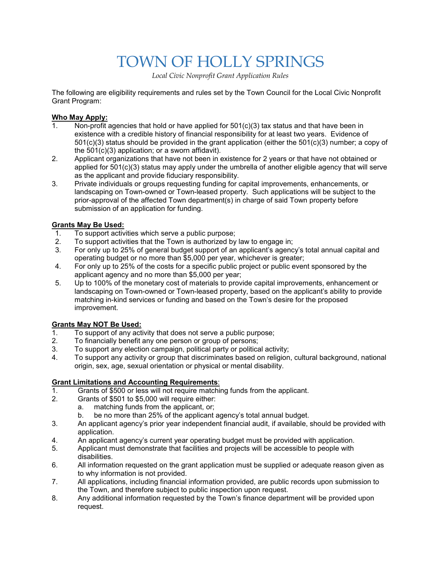# TOWN OF HOLLY SPRINGS

*Local Civic Nonprofit Grant Application Rules*

The following are eligibility requirements and rules set by the Town Council for the Local Civic Nonprofit Grant Program:

#### **Who May Apply:**

- 1. Non-profit agencies that hold or have applied for 501(c)(3) tax status and that have been in existence with a credible history of financial responsibility for at least two years. Evidence of 501(c)(3) status should be provided in the grant application (either the 501(c)(3) number; a copy of the 501(c)(3) application; or a sworn affidavit).
- 2. Applicant organizations that have not been in existence for 2 years or that have not obtained or applied for 501(c)(3) status may apply under the umbrella of another eligible agency that will serve as the applicant and provide fiduciary responsibility.
- 3. Private individuals or groups requesting funding for capital improvements, enhancements, or landscaping on Town-owned or Town-leased property. Such applications will be subject to the prior-approval of the affected Town department(s) in charge of said Town property before submission of an application for funding.

#### **Grants May Be Used:**

- 1. To support activities which serve a public purpose;
- 2. To support activities that the Town is authorized by law to engage in;<br>3. For only up to 25% of general budget support of an applicant's agenc
- For only up to 25% of general budget support of an applicant's agency's total annual capital and operating budget or no more than \$5,000 per year, whichever is greater;
- 4. For only up to 25% of the costs for a specific public project or public event sponsored by the applicant agency and no more than \$5,000 per year;
- 5. Up to 100% of the monetary cost of materials to provide capital improvements, enhancement or landscaping on Town-owned or Town-leased property, based on the applicant's ability to provide matching in-kind services or funding and based on the Town's desire for the proposed improvement.

#### **Grants May NOT Be Used:**

- 1. To support of any activity that does not serve a public purpose;
- 2. To financially benefit any one person or group of persons;
- 3. To support any election campaign, political party or political activity;
- 4. To support any activity or group that discriminates based on religion, cultural background, national origin, sex, age, sexual orientation or physical or mental disability.

### **Grant Limitations and Accounting Requirements**:

- Grants of \$500 or less will not require matching funds from the applicant.
- 2. Grants of \$501 to \$5,000 will require either:
	- a. matching funds from the applicant, or;
	- b. be no more than 25% of the applicant agency's total annual budget.
- 3. An applicant agency's prior year independent financial audit, if available, should be provided with application.
- 4. An applicant agency's current year operating budget must be provided with application.
- 5. Applicant must demonstrate that facilities and projects will be accessible to people with disabilities.
- 6. All information requested on the grant application must be supplied or adequate reason given as to why information is not provided.
- 7. All applications, including financial information provided, are public records upon submission to the Town, and therefore subject to public inspection upon request.
- 8. Any additional information requested by the Town's finance department will be provided upon request.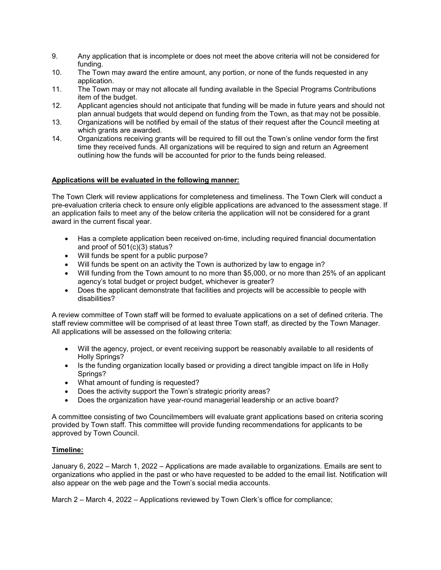- 9. Any application that is incomplete or does not meet the above criteria will not be considered for funding.
- 10. The Town may award the entire amount, any portion, or none of the funds requested in any application.
- 11. The Town may or may not allocate all funding available in the Special Programs Contributions item of the budget.
- 12. Applicant agencies should not anticipate that funding will be made in future years and should not plan annual budgets that would depend on funding from the Town, as that may not be possible.
- 13. Organizations will be notified by email of the status of their request after the Council meeting at which grants are awarded.
- 14. Organizations receiving grants will be required to fill out the Town's online vendor form the first time they received funds. All organizations will be required to sign and return an Agreement outlining how the funds will be accounted for prior to the funds being released.

#### **Applications will be evaluated in the following manner:**

The Town Clerk will review applications for completeness and timeliness. The Town Clerk will conduct a pre-evaluation criteria check to ensure only eligible applications are advanced to the assessment stage. If an application fails to meet any of the below criteria the application will not be considered for a grant award in the current fiscal year.

- Has a complete application been received on-time, including required financial documentation and proof of 501(c)(3) status?
- Will funds be spent for a public purpose?
- Will funds be spent on an activity the Town is authorized by law to engage in?
- Will funding from the Town amount to no more than \$5,000, or no more than 25% of an applicant agency's total budget or project budget, whichever is greater?
- Does the applicant demonstrate that facilities and projects will be accessible to people with disabilities?

A review committee of Town staff will be formed to evaluate applications on a set of defined criteria. The staff review committee will be comprised of at least three Town staff, as directed by the Town Manager. All applications will be assessed on the following criteria:

- Will the agency, project, or event receiving support be reasonably available to all residents of Holly Springs?
- Is the funding organization locally based or providing a direct tangible impact on life in Holly Springs?
- What amount of funding is requested?
- Does the activity support the Town's strategic priority areas?
- Does the organization have year-round managerial leadership or an active board?

A committee consisting of two Councilmembers will evaluate grant applications based on criteria scoring provided by Town staff. This committee will provide funding recommendations for applicants to be approved by Town Council.

#### **Timeline:**

January 6, 2022 – March 1, 2022 – Applications are made available to organizations. Emails are sent to organizations who applied in the past or who have requested to be added to the email list. Notification will also appear on the web page and the Town's social media accounts.

March 2 – March 4, 2022 – Applications reviewed by Town Clerk's office for compliance;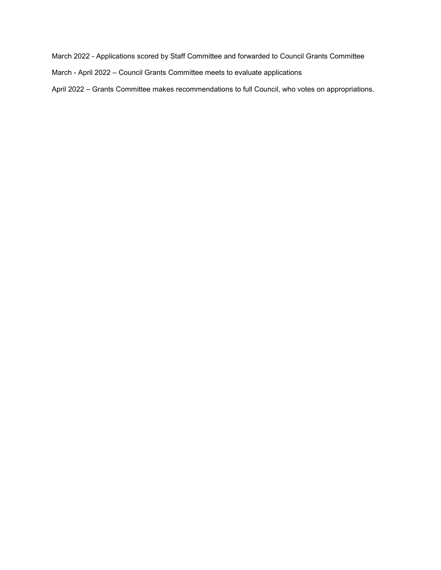March 2022 - Applications scored by Staff Committee and forwarded to Council Grants Committee

March - April 2022 – Council Grants Committee meets to evaluate applications

April 2022 – Grants Committee makes recommendations to full Council, who votes on appropriations.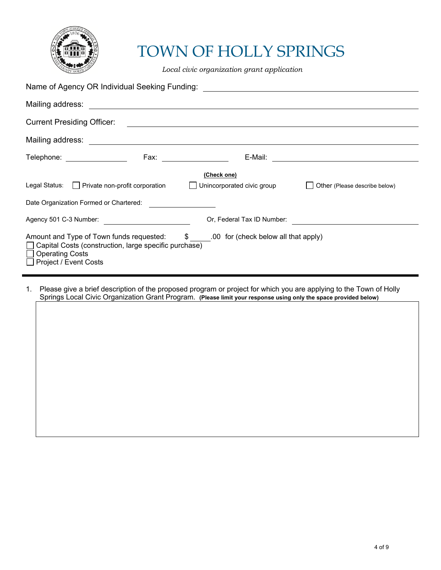

## TOWN OF HOLLY SPRINGS

*Local civic organization grant application*

| Name of Agency OR Individual Seeking Funding: Name of Agency OR Individual Seeking Funding:                                                                                                                                           |  |                                                        |                                                        |  |  |  |  |  |
|---------------------------------------------------------------------------------------------------------------------------------------------------------------------------------------------------------------------------------------|--|--------------------------------------------------------|--------------------------------------------------------|--|--|--|--|--|
|                                                                                                                                                                                                                                       |  |                                                        |                                                        |  |  |  |  |  |
| <b>Current Presiding Officer:</b>                                                                                                                                                                                                     |  | <u> 1989 - Jan Barnett, fransk politiker (d. 1989)</u> |                                                        |  |  |  |  |  |
|                                                                                                                                                                                                                                       |  |                                                        |                                                        |  |  |  |  |  |
| Telephone: ______________                                                                                                                                                                                                             |  | E-Mail:                                                | <u> 1980 - Jan Barnett, fransk politiker (d. 1980)</u> |  |  |  |  |  |
| (Check one)<br>Legal Status: Private non-profit corporation   Unincorporated civic group<br>Other (Please describe below)<br>Date Organization Formed or Chartered:                                                                   |  |                                                        |                                                        |  |  |  |  |  |
| Agency 501 C-3 Number:<br><u> and</u> the contract of the contract of the contract of the contract of the contract of the contract of the contract of the contract of the contract of the contract of the contract of the contract of |  | Or, Federal Tax ID Number:                             |                                                        |  |  |  |  |  |
| Amount and Type of Town funds requested: $\frac{1}{2}$ .00 for (check below all that apply)<br>□ Capital Costs (construction, large specific purchase)<br>$\Box$ Operating Costs<br>$\Box$ Project / Event Costs                      |  |                                                        |                                                        |  |  |  |  |  |

1. Please give a brief description of the proposed program or project for which you are applying to the Town of Holly Springs Local Civic Organization Grant Program. **(Please limit your response using only the space provided below)**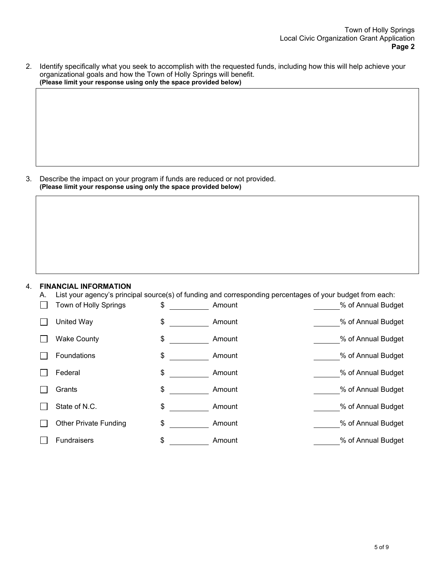2. Identify specifically what you seek to accomplish with the requested funds, including how this will help achieve your organizational goals and how the Town of Holly Springs will benefit. **(Please limit your response using only the space provided below)**

3. Describe the impact on your program if funds are reduced or not provided. **(Please limit your response using only the space provided below)**

#### 4. **FINANCIAL INFORMATION**

A. List your agency's principal source(s) of funding and corresponding percentages of your budget from each:

| Town of Holly Springs        | \$<br>Amount | % of Annual Budget |
|------------------------------|--------------|--------------------|
| United Way                   | \$<br>Amount | % of Annual Budget |
| <b>Wake County</b>           | \$<br>Amount | % of Annual Budget |
| Foundations                  | \$<br>Amount | % of Annual Budget |
| Federal                      | \$<br>Amount | % of Annual Budget |
| Grants                       | \$<br>Amount | % of Annual Budget |
| State of N.C.                | \$<br>Amount | % of Annual Budget |
| <b>Other Private Funding</b> | \$<br>Amount | % of Annual Budget |
| <b>Fundraisers</b>           | \$<br>Amount | % of Annual Budget |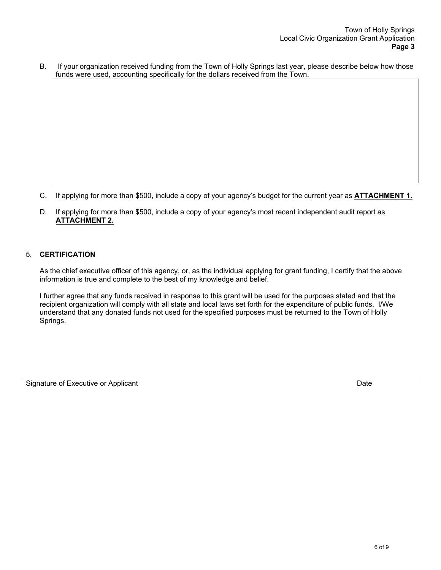B. If your organization received funding from the Town of Holly Springs last year, please describe below how those funds were used, accounting specifically for the dollars received from the Town.

- C. If applying for more than \$500, include a copy of your agency's budget for the current year as **ATTACHMENT 1.**
- D. If applying for more than \$500, include a copy of your agency's most recent independent audit report as **ATTACHMENT 2.**

#### 5. **CERTIFICATION**

As the chief executive officer of this agency, or, as the individual applying for grant funding, I certify that the above information is true and complete to the best of my knowledge and belief.

I further agree that any funds received in response to this grant will be used for the purposes stated and that the recipient organization will comply with all state and local laws set forth for the expenditure of public funds. I/We understand that any donated funds not used for the specified purposes must be returned to the Town of Holly Springs.

Signature of Executive or Applicant Date of Executive or Applicant Date of Executive or Applicant Date of Executive or Applicant Date of Executive or Applicant Date of Executive or Applicant Date of Executive or Applicant